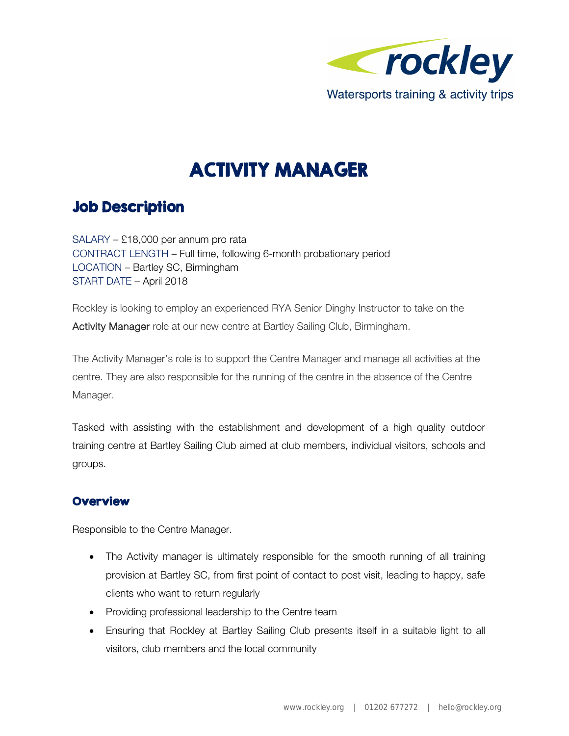

# ACTIVITY MANAGER

# Job Description

SALARY – £18,000 per annum pro rata CONTRACT LENGTH – Full time, following 6-month probationary period LOCATION – Bartley SC, Birmingham START DATE – April 2018

Rockley is looking to employ an experienced RYA Senior Dinghy Instructor to take on the Activity Manager role at our new centre at Bartley Sailing Club, Birmingham.

The Activity Manager's role is to support the Centre Manager and manage all activities at the centre. They are also responsible for the running of the centre in the absence of the Centre Manager.

Tasked with assisting with the establishment and development of a high quality outdoor training centre at Bartley Sailing Club aimed at club members, individual visitors, schools and groups.

## **Overview**

Responsible to the Centre Manager.

- The Activity manager is ultimately responsible for the smooth running of all training provision at Bartley SC, from first point of contact to post visit, leading to happy, safe clients who want to return regularly
- Providing professional leadership to the Centre team
- Ensuring that Rockley at Bartley Sailing Club presents itself in a suitable light to all visitors, club members and the local community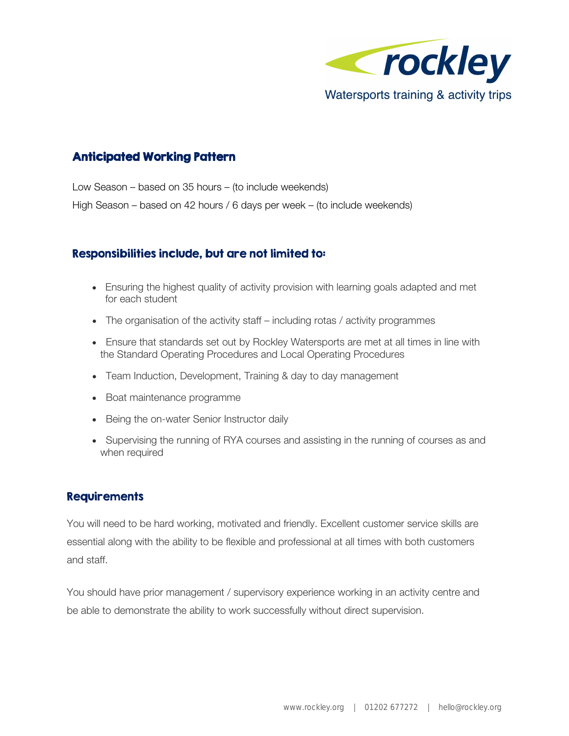

## Anticipated Working Pattern

Low Season – based on 35 hours – (to include weekends) High Season – based on 42 hours / 6 days per week – (to include weekends)

#### Responsibilities include, but are not limited to:

- Ensuring the highest quality of activity provision with learning goals adapted and met for each student
- The organisation of the activity staff including rotas / activity programmes
- Ensure that standards set out by Rockley Watersports are met at all times in line with the Standard Operating Procedures and Local Operating Procedures
- Team Induction, Development, Training & day to day management
- Boat maintenance programme
- Being the on-water Senior Instructor daily
- Supervising the running of RYA courses and assisting in the running of courses as and when required

#### Requirements

You will need to be hard working, motivated and friendly. Excellent customer service skills are essential along with the ability to be flexible and professional at all times with both customers and staff.

You should have prior management / supervisory experience working in an activity centre and be able to demonstrate the ability to work successfully without direct supervision.